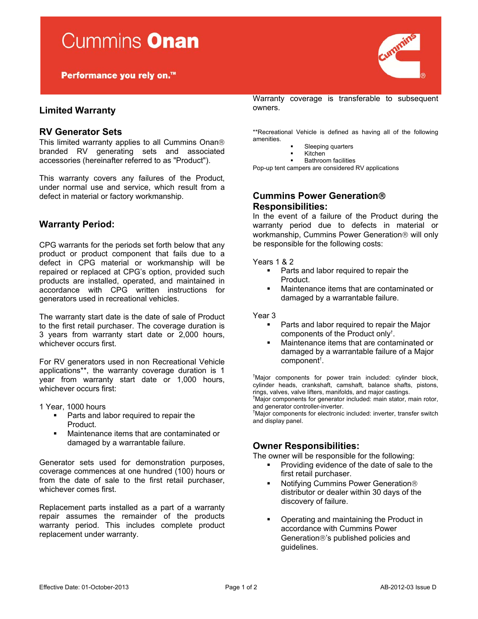Performance you rely on.<sup>™</sup>

# **Limited Warranty**

## **RV Generator Sets**

This limited warranty applies to all Cummins Onan branded RV generating sets and associated accessories (hereinafter referred to as "Product").

This warranty covers any failures of the Product, under normal use and service, which result from a defect in material or factory workmanship.

## **Warranty Period:**

CPG warrants for the periods set forth below that any product or product component that fails due to a defect in CPG material or workmanship will be repaired or replaced at CPG's option, provided such products are installed, operated, and maintained in accordance with CPG written instructions for generators used in recreational vehicles.

The warranty start date is the date of sale of Product to the first retail purchaser. The coverage duration is 3 years from warranty start date or 2,000 hours, whichever occurs first.

For RV generators used in non Recreational Vehicle applications\*\*, the warranty coverage duration is 1 year from warranty start date or 1,000 hours, whichever occurs first:

1 Year, 1000 hours

- **Parts and labor required to repair the** Product.
- Maintenance items that are contaminated or damaged by a warrantable failure.

Generator sets used for demonstration purposes, coverage commences at one hundred (100) hours or from the date of sale to the first retail purchaser, whichever comes first.

Replacement parts installed as a part of a warranty repair assumes the remainder of the products warranty period. This includes complete product replacement under warranty.

Warranty coverage is transferable to subsequent owners.

\*\*Recreational Vehicle is defined as having all of the following amenities.

- **Sleeping quarters**<br>**Kitchen**
- Kitchen **Bathroom facilities**

Pop-up tent campers are considered RV applications

# **Cummins Power Generation Responsibilities:**

In the event of a failure of the Product during the warranty period due to defects in material or workmanship, Cummins Power Generation<sup>®</sup> will only be responsible for the following costs:

#### Years 1 & 2

- **Parts and labor required to repair the** Product.
- Maintenance items that are contaminated or damaged by a warrantable failure.

#### Year 3

- Parts and labor required to repair the Major components of the Product only† .
- Maintenance items that are contaminated or damaged by a warrantable failure of a Major component† .

† Major components for power train included: cylinder block, cylinder heads, crankshaft, camshaft, balance shafts, pistons, rings, valves, valve lifters, manifolds, and major castings. †

<sup>†</sup>Major components for generator included: main stator, main rotor, and generator controller-inverter.

† Major components for electronic included: inverter, transfer switch and display panel.

## **Owner Responsibilities:**

The owner will be responsible for the following:

- **Providing evidence of the date of sale to the** first retail purchaser.
- Notifying Cummins Power Generation distributor or dealer within 30 days of the discovery of failure.
- Operating and maintaining the Product in accordance with Cummins Power Generation®'s published policies and guidelines.